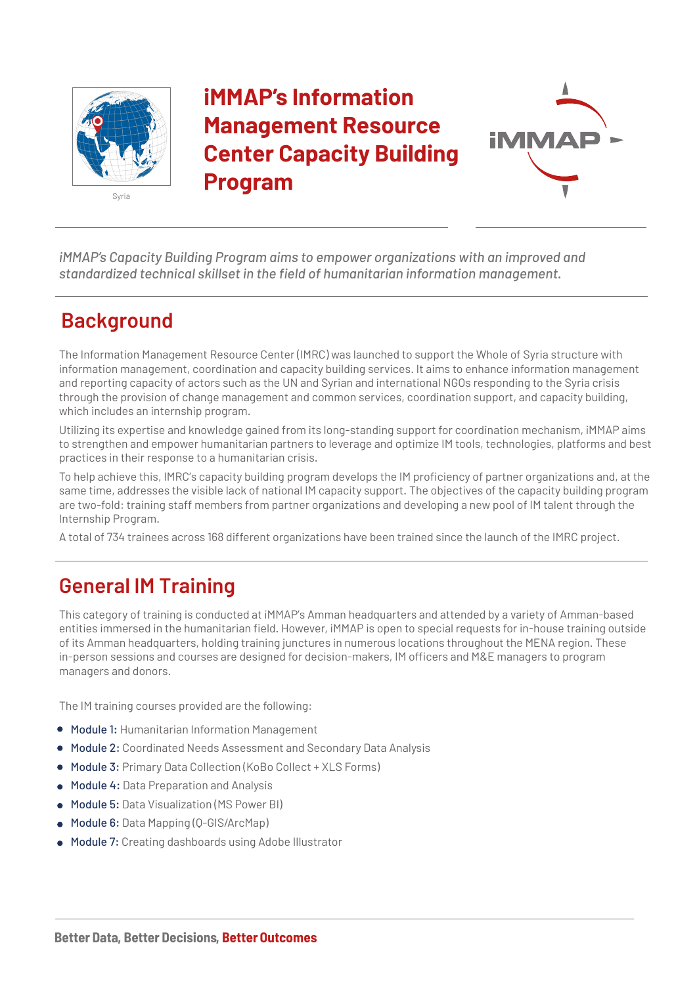

# **iMMAP's Information Management Resource Center Capacity Building Program**



*iMMAP's Capacity Building Program aims to empower organizations with an improved and standardized technical skillset in the field of humanitarian information management.*

### **Background**

The Information Management Resource Center (IMRC) was launched to support the Whole of Syria structure with information management, coordination and capacity building services. It aims to enhance information management and reporting capacity of actors such as the UN and Syrian and international NGOs responding to the Syria crisis through the provision of change management and common services, coordination support, and capacity building, which includes an internship program.

Utilizing its expertise and knowledge gained from its long-standing support for coordination mechanism, iMMAP aims to strengthen and empower humanitarian partners to leverage and optimize IM tools, technologies, platforms and best practices in their response to a humanitarian crisis.

To help achieve this, IMRC's capacity building program develops the IM proficiency of partner organizations and, at the same time, addresses the visible lack of national IM capacity support. The objectives of the capacity building program are two-fold: training staff members from partner organizations and developing a new pool of IM talent through the Internship Program.

A total of 734 trainees across 168 different organizations have been trained since the launch of the IMRC project.

## **General IM Training**

This category of training is conducted at iMMAP's Amman headquarters and attended by a variety of Amman-based entities immersed in the humanitarian field. However, iMMAP is open to special requests for in-house training outside of its Amman headquarters, holding training junctures in numerous locations throughout the MENA region. These in-person sessions and courses are designed for decision-makers, IM officers and M&E managers to program managers and donors.

The IM training courses provided are the following:

- Module 1: Humanitarian Information Management
- Module 2: Coordinated Needs Assessment and Secondary Data Analysis
- Module 3: Primary Data Collection (KoBo Collect + XLS Forms)
- Module 4: Data Preparation and Analysis
- Module 5: Data Visualization (MS Power BI)
- Module 6: Data Mapping (Q-GIS/ArcMap)
- Module 7: Creating dashboards using Adobe Illustrator